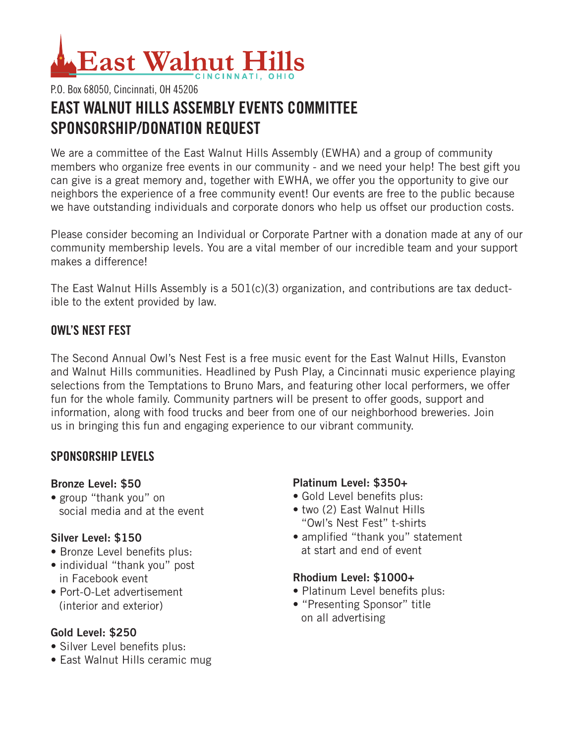# East Walnut

## P.O. Box 68050, Cincinnati, OH 45206 **EAST WALNUT HILLS ASSEMBLY EVENTS COMMITTEE SPONSORSHIP/DONATION REQUEST**

We are a committee of the East Walnut Hills Assembly (EWHA) and a group of community members who organize free events in our community - and we need your help! The best gift you can give is a great memory and, together with EWHA, we offer you the opportunity to give our neighbors the experience of a free community event! Our events are free to the public because we have outstanding individuals and corporate donors who help us offset our production costs.

Please consider becoming an Individual or Corporate Partner with a donation made at any of our community membership levels. You are a vital member of our incredible team and your support makes a difference!

The East Walnut Hills Assembly is a 501(c)(3) organization, and contributions are tax deductible to the extent provided by law.

#### **OWL'S NEST FEST**

The Second Annual Owl's Nest Fest is a free music event for the East Walnut Hills, Evanston and Walnut Hills communities. Headlined by Push Play, a Cincinnati music experience playing selections from the Temptations to Bruno Mars, and featuring other local performers, we offer fun for the whole family. Community partners will be present to offer goods, support and information, along with food trucks and beer from one of our neighborhood breweries. Join us in bringing this fun and engaging experience to our vibrant community.

#### **SPONSORSHIP LEVELS**

#### **Bronze Level: \$50**

• group "thank you" on social media and at the event

#### **Silver Level: \$150**

- Bronze Level benefits plus:
- individual "thank you" post in Facebook event
- Port-O-Let advertisement (interior and exterior)

#### **Gold Level: \$250**

- Silver Level benefits plus:
- East Walnut Hills ceramic mug

#### **Platinum Level: \$350+**

- Gold Level benefits plus:
- two (2) East Walnut Hills "Owl's Nest Fest" t-shirts
- amplified "thank you" statement at start and end of event

#### **Rhodium Level: \$1000+**

- Platinum Level benefits plus:
- "Presenting Sponsor" title on all advertising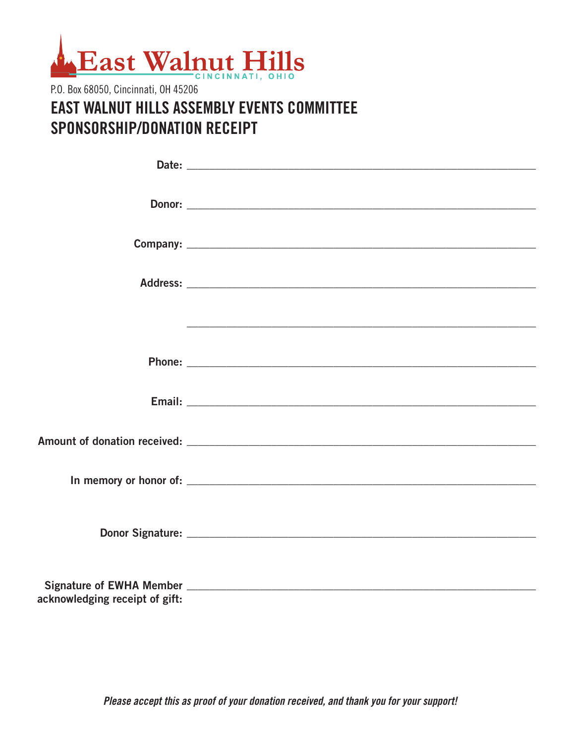

## P.O. Box 68050, Cincinnati, OH 45206 **EAST WALNUT HILLS ASSEMBLY EVENTS COMMITTEE** SPONSORSHIP/DONATION RECEIPT

|                                | Donor: |
|--------------------------------|--------|
|                                |        |
|                                |        |
|                                |        |
|                                |        |
|                                |        |
|                                |        |
|                                |        |
|                                |        |
|                                |        |
|                                |        |
|                                |        |
|                                |        |
|                                |        |
|                                |        |
|                                |        |
|                                |        |
|                                |        |
| acknowledging receipt of gift: |        |

Please accept this as proof of your donation received, and thank you for your support!